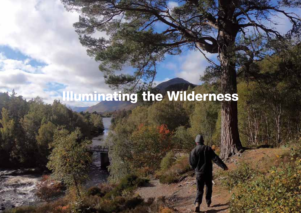# Illuminating the Wilderness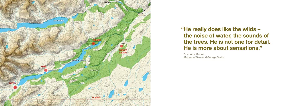

"He really does like the wilds the noise of water, the sounds of the trees. He is not one for detail. He is more about sensations."

Charlotte Moore, Mother of Sam and George Smith.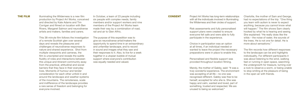Illuminating the Wilderness is a new film production by Project Art Works, conceived and directed by Kate Adams and Tim Corrigan and filmed on location with Ben Rivers, Margaret Salmon and neurodiverse artists and makers, families and carers.

This 38-minute film follows the investigation of a remote Scottish glen over several days and reveals the pleasures and challenges of neurodiverse responses to nature and shared experience. Shot from multiple viewpoints and cameras, the film is unscripted and reveals the subtle fluidity of roles and interactions between this unique and itinerant community away from the practical, attitudinal and social barriers that they face in their everyday lives. Moments of humour and tender consideration for each other unfold in and around the landscape and weather systems of the mountains. The remoteness, scale and indifference of the landscape provides a rare sense of freedom and belonging for everyone involved.

Project Art Works has long-term relationships with all the individuals involved in Illuminating the Wilderness and their circles of support.

Risk assessments and fully personalised support plans were created to ensure everyone felt safe and were able to fully participate in the experience.

Choice in participation was an option at all times, if an individual needed or wanted to leave the project the necessary preparations were in place to enable this.

THE FILM Illuminating the Wilderness is a new film In October, a team of 23 people including CONSENT six people with complex needs, family members and/or support workers and nine members of the Project Art Works team made their way by a combination of road, rail and air to Glen Affric.

> Personalised and flexible support was provided throughout location filming.

Mandy, the mother of Gabby, said: "It was a truly wonderful experience. The environment was accepting of all life – no one was recognised different. Gabby was free to be herself, accepted for who she is. She was happy and calm, wanted and loved, part of something, trusted and respected. We are unused to being so welcomed."

Charlotte, the mother of Sam and George, had no expectations of the trip. "One thing you learn with autism is never to expect anything, because you cannot know what will happen." The film shows Sam clearly hooked by what he is hearing and seeing. She explained: "He really does like the wilds – the noise of water, the sounds of the trees. He is not one for detail. He is more about sensations."

The film records how different responses to the landscape can be and highlights individuality. For different participants it was about listening to the wind, walking fast or running in open space, searching the undergrowth for treasure, turning over a rock to observe a worm, or being unable to stop smiling at the pleasure of being in the open air with friends.

The purpose of this expedition was to give six neurodiverse artist/makers the opportunity to spend time in an extraordinary and unfamiliar landscape, and to record in sound and images what they saw and their responses to it. Also, to live for a week together in a utopian bubble of mutual support where everyone's contribution was equally needed and valued.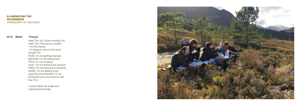#### ILLUMINATING THE WILDERNESS TRANSCRIPT OF DIALOGUE

#### 00.28 Sharif \*Singing\*

Hello Tim, Oh, Good morning Tim, Hello Tim, How are you today? ..I'm fine thanks. ..I'm going to tell you the facts though Tim. Firstly, I'm not getting married, Secondly I'm not having kids. Third, I'm not smoking. Forth, I'm not drinking any alcohol. Fifthly, I'm not having any students. Sixthly, I'm not getting a job anymore and seventhly I'm not joining the army anymore as well then Tim.

I would rather be single and unemployed though.

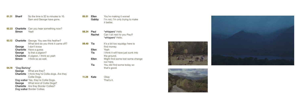- **01.31 Sharif** So the time is 32 to minutes to 10. Sam and George have gone.
- **02.22 Charlotte** Can you hear something now?<br>**Simon** Yeah Simon
- **03.13 Charlotte** George. You see this feather? What bird do you think it came off? George I don't know Charlotte Have a guess George Is that a pigeon? Charlotte A pigeon, I think so yeah **Simon** I think so as well.

### 04.19 \*Dog Barking\*

George What are they? **Charlotte** I think they're Collie dogs. Are they Collie Dogs. Dog walker Yes, they're Collie Dogs. George What kind of Collie Dogs? Charlotte Are they Border Collies? Dog walker Border Collies.

**05.51 Ellen** You're making it worse!<br>**Gabby** I'm not, I'm only trying to I'm not, I'm only trying to make it better.

- 08.24 Paul \*whispers\* Hello Rachel Can I sit next to you Paul? \*whispers\* Hello.
- **09.40 Tia** It's a bit too squidgy here to find money. Ellen Yeah Tia I think it will have just sunk into the ground. Ellen Might find some lost some change out here. Tia You did find some today so that's good.
- 11.28 Kate Okay

That's it.





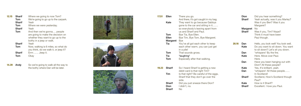| 12.15 | <b>Sharif</b><br>Tom<br><b>Sharif</b> | Where we going to now Tom?<br>We're going to go up to the carpark.<br>Yeah                                                        |
|-------|---------------------------------------|-----------------------------------------------------------------------------------------------------------------------------------|
|       | Tom                                   | Where we were yesterday.                                                                                                          |
|       | <b>Sharif</b>                         | Yeah                                                                                                                              |
|       | Tom                                   | And then we're gonna people<br>are going to make the decision on<br>whether they want to go up to the<br>bothy in a jeep or walk. |
|       | <b>Sharif</b>                         | Yeah                                                                                                                              |
|       | Tom                                   | Now, walking is 6 miles, so what do<br>you think, do we walk it, or jeep it?                                                      |
|       | <b>Sharif</b>                         | Errrr Jeep it.                                                                                                                    |
|       | Tom                                   | Okav                                                                                                                              |

**14.39 Andy** So we're going to walk all the way to the bothy where Dan will be later.







| 17.51 | Ellen    | There you go.<br>And there, it's got caught in my bag.                                                                              |
|-------|----------|-------------------------------------------------------------------------------------------------------------------------------------|
|       | Kate     | They want to go because Gabbys<br>gone to the car and sitting in it<br>so everybody's leaving apart from<br>us and Sharif and Paul. |
|       | Tom      | Bye Tia, Bye Ellen.                                                                                                                 |
|       | Ellen    | Bye Tim, Bye Tom, Bye Margaret.                                                                                                     |
|       | Margaret | <b>B</b> ye                                                                                                                         |
|       | Tia      | You've all got each other to keep<br>each other warm, you can just get<br>in a pile!                                                |
|       | Tom      | That sounds gross.                                                                                                                  |
|       | Tia      | *laughing*                                                                                                                          |
|       | Tom      | Especially after that walking.                                                                                                      |
|       |          |                                                                                                                                     |

|               | So I heard Sharif is getting a new     |
|---------------|----------------------------------------|
|               | debit card is that right Tim?          |
| Tim           | Is that right? Be careful of the eggs, |
|               | Sharif that they don't go over the     |
|               | side.                                  |
| <b>Sharif</b> | Did you just sneeze there Dion?        |
| Dion          | I didn't, no.                          |
| <b>Sharif</b> | No                                     |
|               | Sharif                                 |

|       | Dion<br>Sharif<br>Margaret<br><b>Sharif</b> | Did you hear something?<br>Yeah actually, was it you Marley?<br>Was it you Ben? Was it you<br>Margaret?<br>No<br>Was it you, Tim? Nope?<br>Think it must have been<br>Paul though. |
|-------|---------------------------------------------|------------------------------------------------------------------------------------------------------------------------------------------------------------------------------------|
| 20.16 | Dan                                         | Hello, you look well! You look well.                                                                                                                                               |
|       | Kate                                        | Do you want to sit down. You want<br>to sit down? Let's sit you down.                                                                                                              |
|       | Dan                                         | *whispers* By the fire.                                                                                                                                                            |
|       | Kate                                        | Here, Move over Paul.                                                                                                                                                              |
|       |                                             | Here.                                                                                                                                                                              |
|       | Dan                                         | Have you been hanging out with                                                                                                                                                     |
|       |                                             | Dion? All these people?                                                                                                                                                            |
|       | Kate                                        | Yes, It's brilliant, yeah.                                                                                                                                                         |
|       | Dan                                         | *whispers* All these people                                                                                                                                                        |
|       |                                             | In Scotland!                                                                                                                                                                       |
|       | Sharif                                      | Scotland, How's Scotland though                                                                                                                                                    |
|       |                                             | Paul?                                                                                                                                                                              |
|       | Kate                                        | How is it Sharif?                                                                                                                                                                  |
|       | Sharif                                      | Excellent. I love you Paul.                                                                                                                                                        |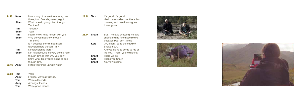| 21.18 | Kate          | How many of us are there, one, two,     |
|-------|---------------|-----------------------------------------|
|       |               | three, four, five, six, seven, eight.   |
|       | <b>Sharif</b> | What time do you go bed though          |
|       |               | Tim then?                               |
|       | Tim           | Tonight?                                |
|       | <b>Sharif</b> | Yeah                                    |
|       | Tim           | I don't know, to be honest with you.    |
|       | <b>Sharif</b> | Why do you not know though              |
|       |               | Tim then?                               |
|       |               | Is it because there's not much          |
|       |               | television here though Tim?             |
|       | Tim           | No television is there?                 |
|       | <b>Sharif</b> | No. Is it because it's very boring here |
|       |               | though Tim. Is that why you don't       |
|       |               | know what time you're going to bed      |
|       |               | though Tim?                             |
| 22.46 | Andy          | I'll top your mug up with water.        |
|       |               |                                         |
|       |               |                                         |

**23.31 Tom** It's good, it's good. Yeah. I saw a deer out there this morning and then it was gone. It was gone.

23.44 Sharif But... no fake sneezing, no fake snoffs and no fake nose blows because Paul don't like it. Kate Ok, alright, so to the middle? Shake it out. Are you going to come to me or I to you? There, you fold it first. **Sharif** There we go.<br>**Kate** Thank you Sh Kate Thank you Sharif.<br>
Sharif You're welcome. You're welcome.





| 23.08 | Tom  | Yeah                        |
|-------|------|-----------------------------|
|       | Andy | Friends, we're all friends. |
|       | Tom  | We're all friends.          |
|       | Andy | Amongst friends.            |
|       | Tom  | We're good friends.         |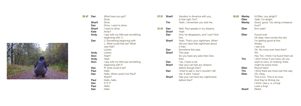

| 25.47 | Dan         | What have you got?                 |
|-------|-------------|------------------------------------|
|       |             | Drive                              |
|       | Sharif      | Drive.                             |
|       | Dan         | Drive, I want to drive.            |
|       | Sharif      | I want to drive.                   |
|       | Kate        | Andy?                              |
|       | Andy        | I spy with my little eye something |
|       |             | beginning with 'L'.                |
|       | Dan         | L! Something beginning with        |
|       |             | L. What could that be? What        |
|       |             | was that?                          |
|       |             | Lichen.                            |
|       | Andy        | Lichen.                            |
|       | Dion        | Yeah?                              |
|       | Andy        | Yeah.                              |
|       | <b>Dion</b> | I spy with my little eye something |
|       |             | beginning with P.                  |
|       | Dan         | P! what could it be?               |
|       | Paul        | Hello                              |
|       | Dan         | Hello. What could it be Paul?      |
|       |             | Sharif?                            |
|       | Paul        | Hello, hello.                      |
|       | Dan         | P, P, P                            |
|       | Paul        | Hello                              |
|       | Dan         | Hello                              |

| 27.31 | Sharif<br>Tim               | Vacation in America with you,<br>is that right Tim?<br>Yeah, I remember you told me.    |
|-------|-----------------------------|-----------------------------------------------------------------------------------------|
| 31.10 | Dan<br><b>Sharif</b><br>Dan | Well, Paul speaks in my dreams.<br>Yeah<br>And, he disappears, and I can't find<br>him. |
|       | Sharif                      | Yeah. That's your nightmare. When<br>did you have that nightmare about<br>it then.      |
|       | Dan                         | Sometime this year.                                                                     |
|       | Sharif                      | This year.<br>Do you have any pets then Dan,<br>then                                    |
|       | Dan                         | I do, I have a cat.                                                                     |
|       | Sharif                      | Has your cat had any dreams<br>before though Dan?                                       |
|       | Dan                         | I tried to ask it, but it wouldn't tell<br>me. It went 'meow'.                          |
|       | Sharif                      | Has your cat have any nightmares<br>before Dan?                                         |
|       |                             |                                                                                         |

| 32.03 | Marley<br>Ellen<br><b>Marley</b> | Hi Ellen, you alright?<br>Yeah, I'm alright.<br>Good, good. You doing a treasure<br>hunt?                                              |
|-------|----------------------------------|----------------------------------------------------------------------------------------------------------------------------------------|
|       | Ellen                            | Erm yeah!                                                                                                                              |
|       | Ellen                            | Found one!<br>Oh dear, here comes the rain.<br>I'm getting good at this.<br>Ahaaa.<br>I see one.<br>Oh. No more over here then?<br>Ah! |
|       | Tim                              | Hey Tim, I think I've found them all.<br>I don't know if you have, do you<br>want to carry on looking, there<br>might be some more.    |
|       | Ellen                            | <b>Round here?</b>                                                                                                                     |
|       | Tim                              | I think there are more over this way.                                                                                                  |
|       | Ellen                            | Oh, Okay.                                                                                                                              |
|       |                                  | This is fun. This is so nice.                                                                                                          |
|       |                                  | And they're filming me.                                                                                                                |
|       |                                  | I think I see a, a, a frog!                                                                                                            |
|       |                                  | Look a frog!                                                                                                                           |
|       | Sharif                           | Ribbit.                                                                                                                                |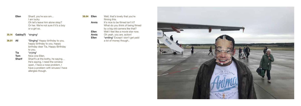

| Ellen | Sharif, you're soo sm<br>I am lucky<br>Oh let's leave him alone okay?<br>Or her. We're not sure if it's a boy |
|-------|---------------------------------------------------------------------------------------------------------------|
|       | or a girl so.                                                                                                 |

35.14 Gabby(?) \*singing\*

**36.01 All \*Singing\* Happy birthday to you,** happy birthday to you, happy birthday dear Tia, Happy Birthday to you.

Tia \*crying\*<br>Tom Nice one Tom Nice one Ellen.<br>Sharif Sharif's at the b Sharif's at the bothy, he saying... He's saying, I need the window open, I have a nose problem, I have a problem with sinuses I have allergies though.

| 38.04 | Ellen | Well, that's lovely that you're    |
|-------|-------|------------------------------------|
|       |       | filming this.                      |
|       | Annis | It's nice to be filmed isn't it?   |
|       |       | What do you think of being filmed  |
|       |       | by a big old camera like that?     |
|       | Ellen | Well I feel like a movie star now. |
|       | Annis | Oh yeah, you are, action!          |
|       | Ellen | *smiling* Except I don't get paid  |
|       |       | a lot of money though              |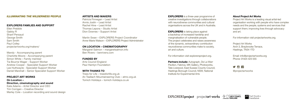#### ILLUMINATING THE WILDERNESS PEOPLE

#### EXPLORERS FAMILIES AND SUPPORT

Ellen Prebble Gabby R Sharif Persaud George Smith Sam Smith Paul Colley projectartworks.org/makers/

Mandy - Accompanying parent Charlotte Moore - Accompanying parent Simon White – Family member Tia Bourne Wager - Support Worker Andrew Cooper - Specialist Support Worker Lee Huthwayte - Specialist Support Worker Daniel Marshall – Senior Specialist Support Worker

#### PROJECT ART WORKS On Location – Direction, cinematography and sound Kate Adams – Artist Director and CEO Tim Corrigan – Creative Director Marley Cole – Location recording and sound design

#### ARTISTS AND MAKERS

**EXPLORERS** is a three-year programme of creative investigations through collaborations with neurodiverse communities and cultural organisations across the UK and in Australia.

Patricia Finnegan – Lead Artist Annis Joslin – Lead Artist Rachel Hine – Lead Artist Thomas Lepora – Studio Artist Dion Downes – Support Artist

**EXPLORERS** is taking place against a backdrop of increased hardship and marginalisation of vulnerable people. The project celebrates and raises awareness of the dynamic, extraordinary contribution neurodiverse communities make to society, art and culture.

Martin Swan – EXPLORERS Project Coordinator Anne-Marie Watson – EXPLORERS Project Administrator

#### ON LOCATION – CINEMATOGRAPHY

**Partners include:** Autograph, De La Warr Pavilion, Fabrica, MK Gallery, Photoworks, Tate Liverpool, East Sussex County Council, Hastings Borough Council, NSW, National Institute for Experimental Arts



Margaret Salmon – margaretsalmon.info Ben Rivers – benrivers.com

#### FUNDED BY

Arts Council England Paul Hamlyn Foundation

### WITH THANKS TO

Trees for Life – treesforlife.org.uk An Teallach Mountaineering Club – atmc.org.uk Tomich Holidays – tomich-holidays.co.uk

For information visit explorersproject.org.

### About Project Art Works

Project Art Works is a leading visual artist-led organisation working with people who have complex needs and the people, systems and services that support them; improving lives through advocacy and art.

For information visit projectartworks.org.

Project Art Works Arch 3, Braybrooke Terrace, Hastings, TN34 1TD

Email: info@projectartworks.org Phone: 01424 423 555



@projectartworks